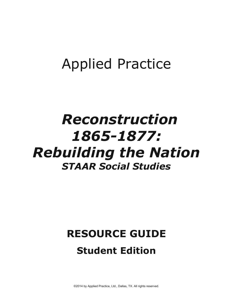## **Applied Practice**

## Reconstruction 1865-1877: **Rebuilding the Nation STAAR Social Studies**

# **RESOURCE GUIDE**

### **Student Edition**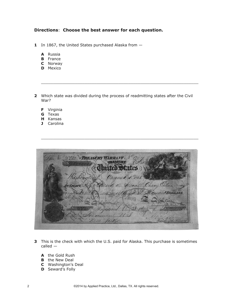#### **Directions**: **Choose the best answer for each question.**

- **1** In 1867, the United States purchased Alaska from
	- **A** Russia
	- **B** France
	- **C** Norway
	- **D** Mexico
- **2** Which state was divided during the process of readmitting states after the Civil War?

 $\overline{\phantom{a}}$  ,  $\overline{\phantom{a}}$  ,  $\overline{\phantom{a}}$  ,  $\overline{\phantom{a}}$  ,  $\overline{\phantom{a}}$  ,  $\overline{\phantom{a}}$  ,  $\overline{\phantom{a}}$  ,  $\overline{\phantom{a}}$  ,  $\overline{\phantom{a}}$  ,  $\overline{\phantom{a}}$  ,  $\overline{\phantom{a}}$  ,  $\overline{\phantom{a}}$  ,  $\overline{\phantom{a}}$  ,  $\overline{\phantom{a}}$  ,  $\overline{\phantom{a}}$  ,  $\overline{\phantom{a}}$ 

- **F** Virginia
- **G** Texas
- **H** Kansas
- **J** Carolina

| 9759 MELISTRY WARRANT. | States                                                             |  |
|------------------------|--------------------------------------------------------------------|--|
| awaret                 | de Health Chory Catherine                                          |  |
|                        | mannin                                                             |  |
|                        | Ironswies of the United States                                     |  |
|                        | Register of the Treasury.<br>Annapierum Bomb: Note Co., Concelling |  |

 $\overline{\phantom{a}}$  ,  $\overline{\phantom{a}}$  ,  $\overline{\phantom{a}}$  ,  $\overline{\phantom{a}}$  ,  $\overline{\phantom{a}}$  ,  $\overline{\phantom{a}}$  ,  $\overline{\phantom{a}}$  ,  $\overline{\phantom{a}}$  ,  $\overline{\phantom{a}}$  ,  $\overline{\phantom{a}}$  ,  $\overline{\phantom{a}}$  ,  $\overline{\phantom{a}}$  ,  $\overline{\phantom{a}}$  ,  $\overline{\phantom{a}}$  ,  $\overline{\phantom{a}}$  ,  $\overline{\phantom{a}}$ 

- **3** This is the check with which the U.S. paid for Alaska. This purchase is sometimes called —
	- **A** the Gold Rush
	- **B** the New Deal
	- **C** Washington's Deal
	- **D** Seward's Folly